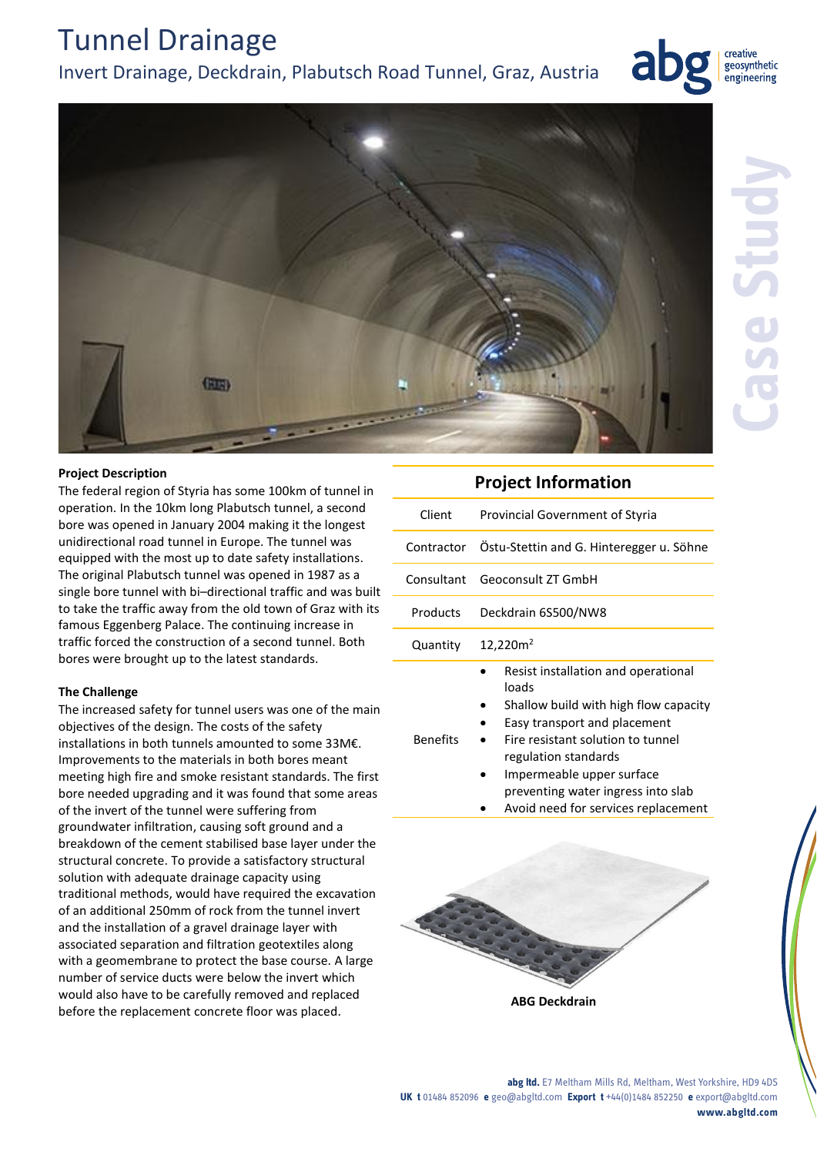#### **abg ltd.** E7 Meltham Mills Rd, Meltham, West Yorkshire, HD9 4DS **UK t** 01484 852096 **e** geo@abgltd.com **Export t** +44(0)1484 852250 **e** export@abgltd.com **www.abgltd.com**

**ABG Deckdrain** 

## Invert Drainage, Deckdrain, Plabutsch Road Tunnel, Graz, Austria

### **Project Description**

Tunnel Drainage

The federal region of Styria has some 100km of tunnel in operation. In the 10km long Plabutsch tunnel, a second bore was opened in January 2004 making it the longest unidirectional road tunnel in Europe. The tunnel was equipped with the most up to date safety installations. The original Plabutsch tunnel was opened in 1987 as a single bore tunnel with bi–directional traffic and was built to take the traffic away from the old town of Graz with its famous Eggenberg Palace. The continuing increase in traffic forced the construction of a second tunnel. Both bores were brought up to the latest standards.

### **The Challenge**

The increased safety for tunnel users was one of the main objectives of the design. The costs of the safety installations in both tunnels amounted to some 33M€. Improvements to the materials in both bores meant meeting high fire and smoke resistant standards. The first bore needed upgrading and it was found that some areas of the invert of the tunnel were suffering from groundwater infiltration, causing soft ground and a breakdown of the cement stabilised base layer under the structural concrete. To provide a satisfactory structural solution with adequate drainage capacity using traditional methods, would have required the excavation of an additional 250mm of rock from the tunnel invert and the installation of a gravel drainage layer with associated separation and filtration geotextiles along with a geomembrane to protect the base course. A large number of service ducts were below the invert which would also have to be carefully removed and replaced before the replacement concrete floor was placed.

| <b>Project Information</b> |                                                     |
|----------------------------|-----------------------------------------------------|
| Client                     | Provincial Government of Styria                     |
|                            | Contractor Östu-Stettin and G. Hinteregger u. Söhne |
| Consultant                 | <b>Geoconsult 7T GmbH</b>                           |
| Products                   | Deckdrain 6S500/NW8                                 |
| Quantity                   | 12,220m <sup>2</sup>                                |
|                            | Resist installation and operational                 |

| Resist installation and operational |
|-------------------------------------|
| loads                               |
|                                     |